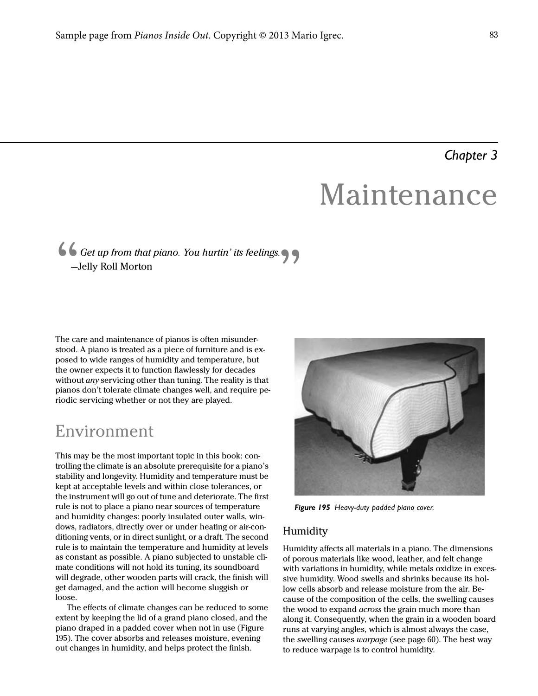### *Chapter 3*

## Maintenance

# " Get up from that piano. You hurtin' its feelings.<br>-Jelly Roll Morton<br>-Jelly Roll Morton

The care and maintenance of pianos is often misunderstood. A piano is treated as a piece of furniture and is exposed to wide ranges of humidity and temperature, but the owner expects it to function flawlessly for decades without *any* servicing other than tuning. The reality is that pianos don't tolerate climate changes well, and require periodic servicing whether or not they are played.

## Environment

This may be the most important topic in this book: controlling the climate is an absolute prerequisite for a piano's stability and longevity. Humidity and temperature must be kept at acceptable levels and within close tolerances, or the instrument will go out of tune and deteriorate. The first rule is not to place a piano near sources of temperature and humidity changes: poorly insulated outer walls, windows, radiators, directly over or under heating or air-conditioning vents, or in direct sunlight, or a draft. The second rule is to maintain the temperature and humidity at levels as constant as possible. A piano subjected to unstable climate conditions will not hold its tuning, its soundboard will degrade, other wooden parts will crack, the finish will get damaged, and the action will become sluggish or loose.

The effects of climate changes can be reduced to some extent by keeping the lid of a grand piano closed, and the piano draped in a padded cover when not in use (Figure 195). The cover absorbs and releases moisture, evening out changes in humidity, and helps protect the finish.



*Figure 195 Heavy-duty padded piano cover.*

#### **Humidity**

Humidity affects all materials in a piano. The dimensions of porous materials like wood, leather, and felt change with variations in humidity, while metals oxidize in excessive humidity. Wood swells and shrinks because its hollow cells absorb and release moisture from the air. Because of the composition of the cells, the swelling causes the wood to expand *across* the grain much more than along it. Consequently, when the grain in a wooden board runs at varying angles, which is almost always the case, the swelling causes *warpage* (see page 60). The best way to reduce warpage is to control humidity.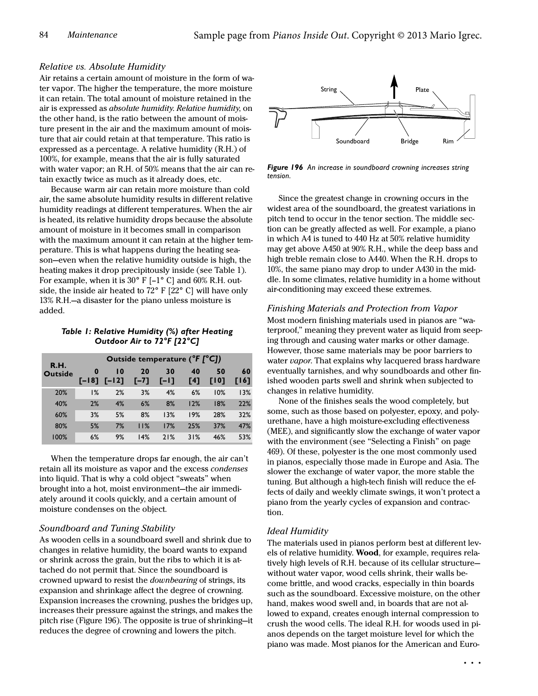#### Relative vs. Absolute Humidity

Air retains a certain amount of moisture in the form of water vapor. The higher the temperature, the more moisture it can retain. The total amount of moisture retained in the air is expressed as absolute humidity. Relative humidity, on the other hand, is the ratio between the amount of moisture present in the air and the maximum amount of moisture that air could retain at that temperature. This ratio is expressed as a percentage. A relative humidity (R.H.) of 100%, for example, means that the air is fully saturated with water vapor; an R.H. of 50% means that the air can retain exactly twice as much as it already does, etc.

Because warm air can retain more moisture than cold air, the same absolute humidity results in different relative humidity readings at different temperatures. When the air is heated, its relative humidity drops because the absolute amount of moisture in it becomes small in comparison with the maximum amount it can retain at the higher temperature. This is what happens during the heating season—even when the relative humidity outside is high, the heating makes it drop precipitously inside (see Table 1). For example, when it is  $30^{\circ}$  F [-1° C] and 60% R.H. outside, the inside air heated to 72° F [22° C] will have only 13% R.H.—a disaster for the piano unless moisture is added.

#### *Table 1: Relative Humidity (%) after Heating Outdoor Air to 72°F [22°C]*

|  | <b>R.H.</b><br><b>Outside</b> | Outside temperature (°F [°C]) |                            |              |              |           |                   |            |
|--|-------------------------------|-------------------------------|----------------------------|--------------|--------------|-----------|-------------------|------------|
|  |                               | $\bf{0}$<br>$F-187$           | $\overline{10}$<br>$[-12]$ | 20<br>$[-7]$ | 30<br>$F-11$ | 40<br>[4] | 50<br><b>FI01</b> | 60<br>1161 |
|  | 20%                           | 1%                            | 2%                         | 3%           | 4%           | 6%        | 10%               | 13%        |
|  | 40%                           | 2%                            | 4%                         | 6%           | 8%           | 12%       | 18%               | 22%        |
|  | 60%                           | 3%                            | 5%                         | 8%           | 13%          | 19%       | 28%               | 32%        |
|  | 80%                           | 5%                            | 7%                         | 11%          | 17%          | 25%       | 37%               | 47%        |
|  | 100%                          | 6%                            | 9%                         | 14%          | 21%          | 31%       | 46%               | 53%        |

When the temperature drops far enough, the air can't retain all its moisture as vapor and the excess condenses into liquid. That is why a cold object "sweats" when brought into a hot, moist environment—the air immediately around it cools quickly, and a certain amount of moisture condenses on the object.

#### Soundboard and Tuning Stability

As wooden cells in a soundboard swell and shrink due to changes in relative humidity, the board wants to expand or shrink across the grain, but the ribs to which it is attached do not permit that. Since the soundboard is crowned upward to resist the downbearing of strings, its expansion and shrinkage affect the degree of crowning. Expansion increases the crowning, pushes the bridges up, increases their pressure against the strings, and makes the pitch rise (Figure 196). The opposite is true of shrinking—it reduces the degree of crowning and lowers the pitch.



*Figure 196 An increase in soundboard crowning increases string tension.*

Since the greatest change in crowning occurs in the widest area of the soundboard, the greatest variations in pitch tend to occur in the tenor section. The middle section can be greatly affected as well. For example, a piano in which A4 is tuned to 440 Hz at 50% relative humidity may get above A450 at 90% R.H., while the deep bass and high treble remain close to A440. When the R.H. drops to 10%, the same piano may drop to under A430 in the middle. In some climates, relative humidity in a home without air-conditioning may exceed these extremes.

Finishing Materials and Protection from Vapor Most modern finishing materials used in pianos are "waterproof," meaning they prevent water as liquid from seeping through and causing water marks or other damage. However, those same materials may be poor barriers to water *vapor*. That explains why lacquered brass hardware eventually tarnishes, and why soundboards and other finished wooden parts swell and shrink when subjected to changes in relative humidity.

None of the finishes seals the wood completely, but some, such as those based on polyester, epoxy, and polyurethane, have a high moisture-excluding effectiveness (MEE), and significantly slow the exchange of water vapor with the environment (see "Selecting a Finish" on page 469). Of these, polyester is the one most commonly used in pianos, especially those made in Europe and Asia. The slower the exchange of water vapor, the more stable the tuning. But although a high-tech finish will reduce the effects of daily and weekly climate swings, it won't protect a piano from the yearly cycles of expansion and contraction.

#### Ideal Humidity

The materials used in pianos perform best at different levels of relative humidity. Wood, for example, requires relatively high levels of R.H. because of its cellular structure without water vapor, wood cells shrink, their walls become brittle, and wood cracks, especially in thin boards such as the soundboard. Excessive moisture, on the other hand, makes wood swell and, in boards that are not allowed to expand, creates enough internal compression to crush the wood cells. The ideal R.H. for woods used in pianos depends on the target moisture level for which the piano was made. Most pianos for the American and Euro